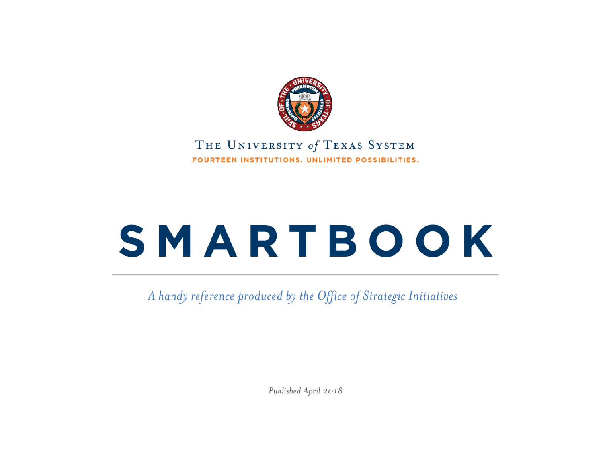

#### THE UNIVERSITY of TEXAS SYSTEM FOURTEEN INSTITUTIONS, UNLIMITED POSSIBILITIES.

# SMARTBOOK

A handy reference produced by the Office of Strategic Initiatives

Published April 2018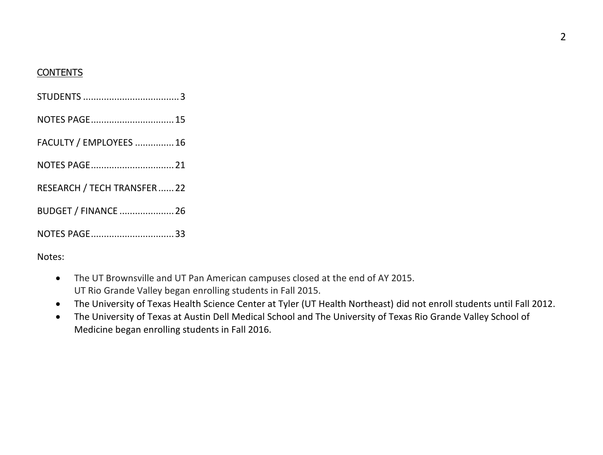#### **CONTENTS**

| NOTES PAGE 15               |
|-----------------------------|
| FACULTY / EMPLOYEES  16     |
| NOTES PAGE 21               |
| RESEARCH / TECH TRANSFER22  |
| <b>BUDGET / FINANCE  26</b> |
| NOTES PAGE33                |

Notes:

- The UT Brownsville and UT Pan American campuses closed at the end of AY 2015. UT Rio Grande Valley began enrolling students in Fall 2015.
- The University of Texas Health Science Center at Tyler (UT Health Northeast) did not enroll students until Fall 2012.
- The University of Texas at Austin Dell Medical School and The University of Texas Rio Grande Valley School of Medicine began enrolling students in Fall 2016.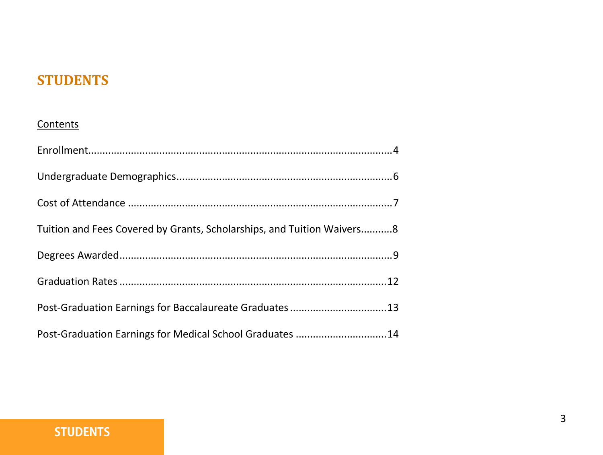#### **STUDENTS**

#### **Contents**

| Tuition and Fees Covered by Grants, Scholarships, and Tuition Waivers8 |  |
|------------------------------------------------------------------------|--|
|                                                                        |  |
|                                                                        |  |
| Post-Graduation Earnings for Baccalaureate Graduates 13                |  |
| Post-Graduation Earnings for Medical School Graduates 14               |  |

#### **STUDENTS**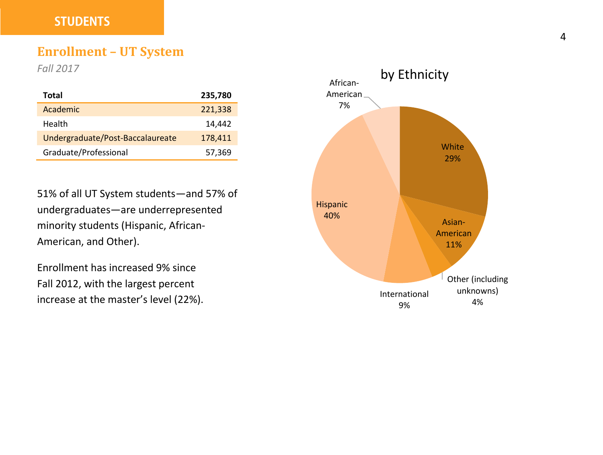#### **STUDENTS**

#### **Enrollment – UT System**

*Fall 2017*

| Total                            | 235,780 |
|----------------------------------|---------|
| Academic                         | 221,338 |
| Health                           | 14,442  |
| Undergraduate/Post-Baccalaureate | 178,411 |
| Graduate/Professional            | 57,369  |

51% of all UT System students—and 57% of undergraduates—are underrepresented minority students (Hispanic, African-American, and Other).

Enrollment has increased 9% since Fall 2012, with the largest percent increase at the master's level (22%).

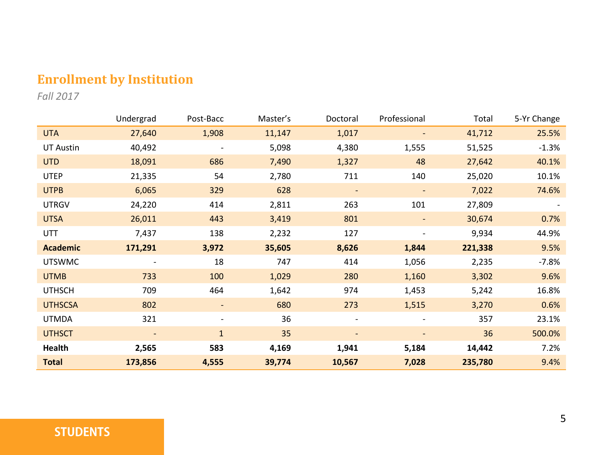#### **Enrollment by Institution**

*Fall 2017*

|                 | Undergrad                | Post-Bacc                | Master's | Doctoral                 | Professional             | Total   | 5-Yr Change |
|-----------------|--------------------------|--------------------------|----------|--------------------------|--------------------------|---------|-------------|
| <b>UTA</b>      | 27,640                   | 1,908                    | 11,147   | 1,017                    |                          | 41,712  | 25.5%       |
| UT Austin       | 40,492                   | $\overline{a}$           | 5,098    | 4,380                    | 1,555                    | 51,525  | $-1.3%$     |
| <b>UTD</b>      | 18,091                   | 686                      | 7,490    | 1,327                    | 48                       | 27,642  | 40.1%       |
| <b>UTEP</b>     | 21,335                   | 54                       | 2,780    | 711                      | 140                      | 25,020  | 10.1%       |
| <b>UTPB</b>     | 6,065                    | 329                      | 628      | $\overline{\phantom{a}}$ | $\overline{\phantom{a}}$ | 7,022   | 74.6%       |
| <b>UTRGV</b>    | 24,220                   | 414                      | 2,811    | 263                      | 101                      | 27,809  |             |
| <b>UTSA</b>     | 26,011                   | 443                      | 3,419    | 801                      |                          | 30,674  | 0.7%        |
| UTT             | 7,437                    | 138                      | 2,232    | 127                      | $\overline{\phantom{a}}$ | 9,934   | 44.9%       |
| <b>Academic</b> | 171,291                  | 3,972                    | 35,605   | 8,626                    | 1,844                    | 221,338 | 9.5%        |
| <b>UTSWMC</b>   |                          | 18                       | 747      | 414                      | 1,056                    | 2,235   | $-7.8%$     |
| <b>UTMB</b>     | 733                      | 100                      | 1,029    | 280                      | 1,160                    | 3,302   | 9.6%        |
| <b>UTHSCH</b>   | 709                      | 464                      | 1,642    | 974                      | 1,453                    | 5,242   | 16.8%       |
| <b>UTHSCSA</b>  | 802                      | ۰.                       | 680      | 273                      | 1,515                    | 3,270   | 0.6%        |
| <b>UTMDA</b>    | 321                      | $\overline{\phantom{a}}$ | 36       | $\overline{\phantom{a}}$ | $\overline{\phantom{a}}$ | 357     | 23.1%       |
| <b>UTHSCT</b>   | $\overline{\phantom{a}}$ | $\mathbf{1}$             | 35       | $\overline{\phantom{a}}$ | $\overline{\phantom{a}}$ | 36      | 500.0%      |
| Health          | 2,565                    | 583                      | 4,169    | 1,941                    | 5,184                    | 14,442  | 7.2%        |
| <b>Total</b>    | 173,856                  | 4,555                    | 39,774   | 10,567                   | 7,028                    | 235,780 | 9.4%        |

#### **STUDENTS**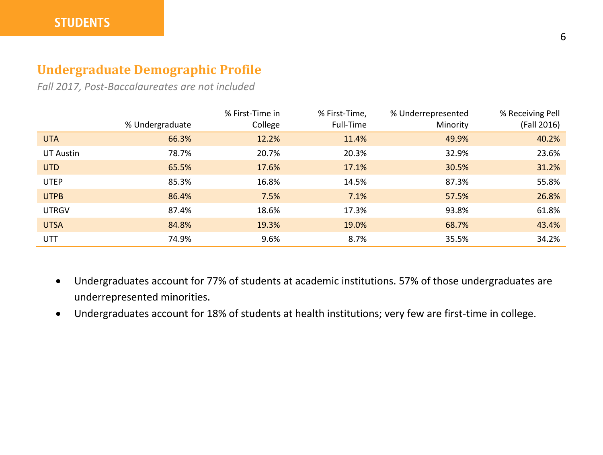#### **Undergraduate Demographic Profile**

*Fall 2017, Post-Baccalaureates are not included*

|              | % Undergraduate | % First-Time in<br>College | % First-Time,<br>Full-Time | % Underrepresented<br>Minority | % Receiving Pell<br>(Fall 2016) |
|--------------|-----------------|----------------------------|----------------------------|--------------------------------|---------------------------------|
| <b>UTA</b>   | 66.3%           | 12.2%                      | 11.4%                      | 49.9%                          | 40.2%                           |
| UT Austin    | 78.7%           | 20.7%                      | 20.3%                      | 32.9%                          | 23.6%                           |
| <b>UTD</b>   | 65.5%           | 17.6%                      | 17.1%                      | 30.5%                          | 31.2%                           |
| <b>UTEP</b>  | 85.3%           | 16.8%                      | 14.5%                      | 87.3%                          | 55.8%                           |
| <b>UTPB</b>  | 86.4%           | 7.5%                       | 7.1%                       | 57.5%                          | 26.8%                           |
| <b>UTRGV</b> | 87.4%           | 18.6%                      | 17.3%                      | 93.8%                          | 61.8%                           |
| <b>UTSA</b>  | 84.8%           | 19.3%                      | 19.0%                      | 68.7%                          | 43.4%                           |
| <b>UTT</b>   | 74.9%           | 9.6%                       | 8.7%                       | 35.5%                          | 34.2%                           |

- Undergraduates account for 77% of students at academic institutions. 57% of those undergraduates are underrepresented minorities.
- Undergraduates account for 18% of students at health institutions; very few are first-time in college.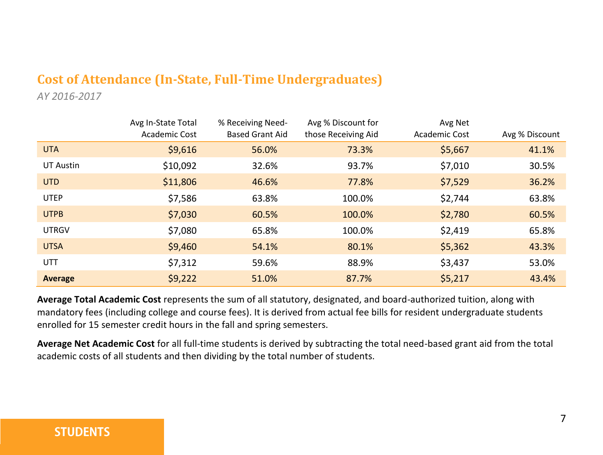#### **Cost of Attendance (In-State, Full-Time Undergraduates)**

*AY 2016-2017*

|              | Avg In-State Total<br><b>Academic Cost</b> | % Receiving Need-<br><b>Based Grant Aid</b> | Avg % Discount for<br>those Receiving Aid | Avg Net<br>Academic Cost | Avg % Discount |
|--------------|--------------------------------------------|---------------------------------------------|-------------------------------------------|--------------------------|----------------|
| <b>UTA</b>   | \$9,616                                    | 56.0%                                       | 73.3%                                     | \$5,667                  | 41.1%          |
| UT Austin    | \$10,092                                   | 32.6%                                       | 93.7%                                     | \$7,010                  | 30.5%          |
| <b>UTD</b>   | \$11,806                                   | 46.6%                                       | 77.8%                                     | \$7,529                  | 36.2%          |
| <b>UTEP</b>  | \$7,586                                    | 63.8%                                       | 100.0%                                    | \$2,744                  | 63.8%          |
| <b>UTPB</b>  | \$7,030                                    | 60.5%                                       | 100.0%                                    | \$2,780                  | 60.5%          |
| <b>UTRGV</b> | \$7,080                                    | 65.8%                                       | 100.0%                                    | \$2,419                  | 65.8%          |
| <b>UTSA</b>  | \$9,460                                    | 54.1%                                       | 80.1%                                     | \$5,362                  | 43.3%          |
| <b>UTT</b>   | \$7,312                                    | 59.6%                                       | 88.9%                                     | \$3,437                  | 53.0%          |
| Average      | \$9,222                                    | 51.0%                                       | 87.7%                                     | \$5,217                  | 43.4%          |

**Average Total Academic Cost** represents the sum of all statutory, designated, and board-authorized tuition, along with mandatory fees (including college and course fees). It is derived from actual fee bills for resident undergraduate students enrolled for 15 semester credit hours in the fall and spring semesters.

**Average Net Academic Cost** for all full-time students is derived by subtracting the total need-based grant aid from the total academic costs of all students and then dividing by the total number of students.

#### **STUDENTS**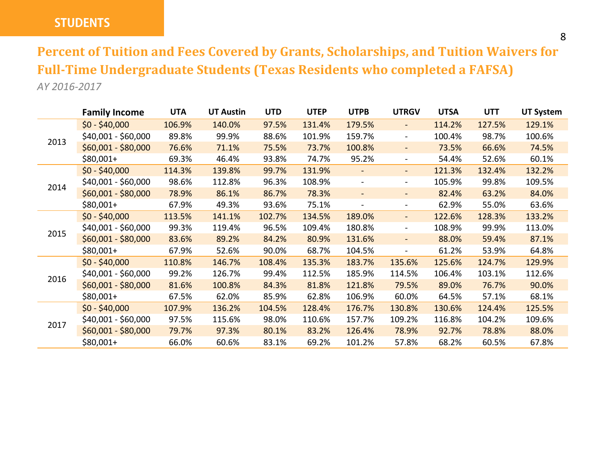#### **STUDENTS**

**Percent of Tuition and Fees Covered by Grants, Scholarships, and Tuition Waivers for Full-Time Undergraduate Students (Texas Residents who completed a FAFSA)** *AY 2016-2017*

|      | <b>Family Income</b> | <b>UTA</b> | <b>UT Austin</b> | <b>UTD</b> | <b>UTEP</b> | <b>UTPB</b>              | <b>UTRGV</b>             | <b>UTSA</b> | <b>UTT</b> | <b>UT System</b> |
|------|----------------------|------------|------------------|------------|-------------|--------------------------|--------------------------|-------------|------------|------------------|
|      | $$0 - $40,000$       | 106.9%     | 140.0%           | 97.5%      | 131.4%      | 179.5%                   | $\overline{\phantom{a}}$ | 114.2%      | 127.5%     | 129.1%           |
|      | \$40,001 - \$60,000  | 89.8%      | 99.9%            | 88.6%      | 101.9%      | 159.7%                   | $\blacksquare$           | 100.4%      | 98.7%      | 100.6%           |
| 2013 | $$60,001 - $80,000$  | 76.6%      | 71.1%            | 75.5%      | 73.7%       | 100.8%                   | $\overline{\phantom{a}}$ | 73.5%       | 66.6%      | 74.5%            |
|      | $$80,001+$           | 69.3%      | 46.4%            | 93.8%      | 74.7%       | 95.2%                    | $\overline{\phantom{a}}$ | 54.4%       | 52.6%      | 60.1%            |
|      | $$0 - $40,000$       | 114.3%     | 139.8%           | 99.7%      | 131.9%      |                          | $\blacksquare$           | 121.3%      | 132.4%     | 132.2%           |
|      | \$40,001 - \$60,000  | 98.6%      | 112.8%           | 96.3%      | 108.9%      |                          | ۰.                       | 105.9%      | 99.8%      | 109.5%           |
| 2014 | $$60,001 - $80,000$  | 78.9%      | 86.1%            | 86.7%      | 78.3%       | $\overline{\phantom{0}}$ | $\overline{\phantom{a}}$ | 82.4%       | 63.2%      | 84.0%            |
|      | $$80,001+$           | 67.9%      | 49.3%            | 93.6%      | 75.1%       |                          | $\overline{\phantom{a}}$ | 62.9%       | 55.0%      | 63.6%            |
|      | $$0 - $40,000$       | 113.5%     | 141.1%           | 102.7%     | 134.5%      | 189.0%                   | $\overline{\phantom{a}}$ | 122.6%      | 128.3%     | 133.2%           |
|      | \$40,001 - \$60,000  | 99.3%      | 119.4%           | 96.5%      | 109.4%      | 180.8%                   | ۰                        | 108.9%      | 99.9%      | 113.0%           |
| 2015 | $$60,001 - $80,000$  | 83.6%      | 89.2%            | 84.2%      | 80.9%       | 131.6%                   | $\overline{\phantom{a}}$ | 88.0%       | 59.4%      | 87.1%            |
|      | $$80,001+$           | 67.9%      | 52.6%            | 90.0%      | 68.7%       | 104.5%                   | ٠                        | 61.2%       | 53.9%      | 64.8%            |
|      | $$0 - $40,000$       | 110.8%     | 146.7%           | 108.4%     | 135.3%      | 183.7%                   | 135.6%                   | 125.6%      | 124.7%     | 129.9%           |
| 2016 | \$40,001 - \$60,000  | 99.2%      | 126.7%           | 99.4%      | 112.5%      | 185.9%                   | 114.5%                   | 106.4%      | 103.1%     | 112.6%           |
|      | $$60,001 - $80,000$  | 81.6%      | 100.8%           | 84.3%      | 81.8%       | 121.8%                   | 79.5%                    | 89.0%       | 76.7%      | 90.0%            |
|      | $$80,001+$           | 67.5%      | 62.0%            | 85.9%      | 62.8%       | 106.9%                   | 60.0%                    | 64.5%       | 57.1%      | 68.1%            |
|      | $$0 - $40,000$       | 107.9%     | 136.2%           | 104.5%     | 128.4%      | 176.7%                   | 130.8%                   | 130.6%      | 124.4%     | 125.5%           |
|      | \$40,001 - \$60,000  | 97.5%      | 115.6%           | 98.0%      | 110.6%      | 157.7%                   | 109.2%                   | 116.8%      | 104.2%     | 109.6%           |
| 2017 | $$60,001 - $80,000$  | 79.7%      | 97.3%            | 80.1%      | 83.2%       | 126.4%                   | 78.9%                    | 92.7%       | 78.8%      | 88.0%            |
|      | $$80,001+$           | 66.0%      | 60.6%            | 83.1%      | 69.2%       | 101.2%                   | 57.8%                    | 68.2%       | 60.5%      | 67.8%            |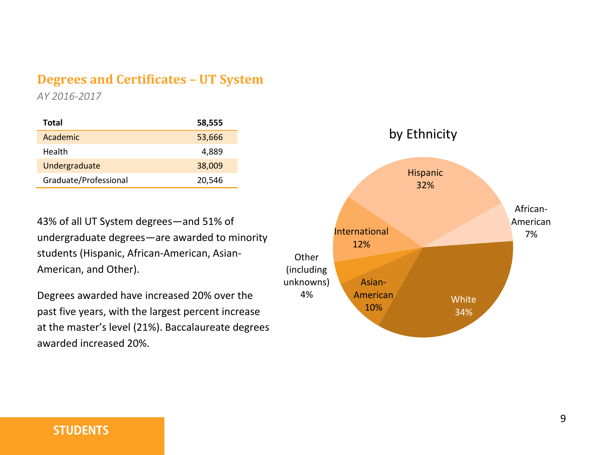#### **Degrees and Certificates – UT System**

*AY 2016-2017*

| Total                 | 58,555 |
|-----------------------|--------|
| Academic              | 53,666 |
| Health                | 4,889  |
| Undergraduate         | 38,009 |
| Graduate/Professional | 20,546 |

43% of all UT System degrees—and 51% of undergraduate degrees—are awarded to minority students (Hispanic, African-American, Asian-American, and Other).

Degrees awarded have increased 20% over the past five years, with the largest percent increase at the master's level (21%). Baccalaureate degrees awarded increased 20%.



#### **STUDENTS**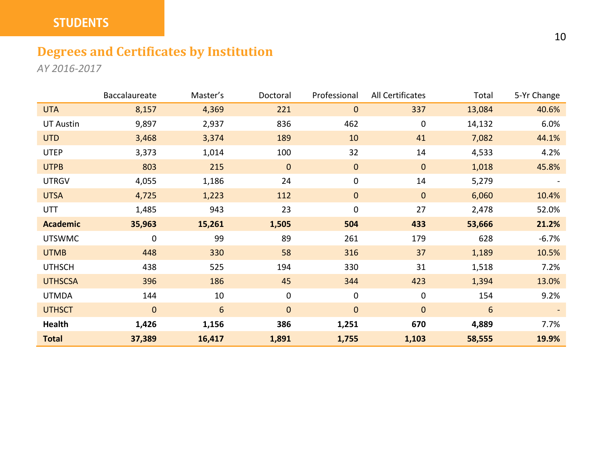#### **STUDENTS**

#### **Degrees and Certificates by Institution**

*AY 2016-2017*

|                 | Baccalaureate | Master's | Doctoral     | Professional | All Certificates | Total  | 5-Yr Change |
|-----------------|---------------|----------|--------------|--------------|------------------|--------|-------------|
| <b>UTA</b>      | 8,157         | 4,369    | 221          | $\mathbf 0$  | 337              | 13,084 | 40.6%       |
| UT Austin       | 9,897         | 2,937    | 836          | 462          | 0                | 14,132 | 6.0%        |
| <b>UTD</b>      | 3,468         | 3,374    | 189          | 10           | 41               | 7,082  | 44.1%       |
| <b>UTEP</b>     | 3,373         | 1,014    | 100          | 32           | 14               | 4,533  | 4.2%        |
| <b>UTPB</b>     | 803           | 215      | $\mathbf 0$  | $\mathbf 0$  | $\mathbf{0}$     | 1,018  | 45.8%       |
| <b>UTRGV</b>    | 4,055         | 1,186    | 24           | 0            | 14               | 5,279  |             |
| <b>UTSA</b>     | 4,725         | 1,223    | 112          | $\mathbf{0}$ | $\mathbf{0}$     | 6,060  | 10.4%       |
| UTT             | 1,485         | 943      | 23           | 0            | 27               | 2,478  | 52.0%       |
| <b>Academic</b> | 35,963        | 15,261   | 1,505        | 504          | 433              | 53,666 | 21.2%       |
| <b>UTSWMC</b>   | 0             | 99       | 89           | 261          | 179              | 628    | $-6.7%$     |
| <b>UTMB</b>     | 448           | 330      | 58           | 316          | 37               | 1,189  | 10.5%       |
| <b>UTHSCH</b>   | 438           | 525      | 194          | 330          | 31               | 1,518  | 7.2%        |
| <b>UTHSCSA</b>  | 396           | 186      | 45           | 344          | 423              | 1,394  | 13.0%       |
| <b>UTMDA</b>    | 144           | 10       | $\mathbf 0$  | 0            | 0                | 154    | 9.2%        |
| <b>UTHSCT</b>   | $\mathbf{0}$  | 6        | $\mathbf{0}$ | $\mathbf{0}$ | $\mathbf{0}$     | 6      |             |
| Health          | 1,426         | 1,156    | 386          | 1,251        | 670              | 4,889  | 7.7%        |
| <b>Total</b>    | 37,389        | 16,417   | 1,891        | 1,755        | 1,103            | 58,555 | 19.9%       |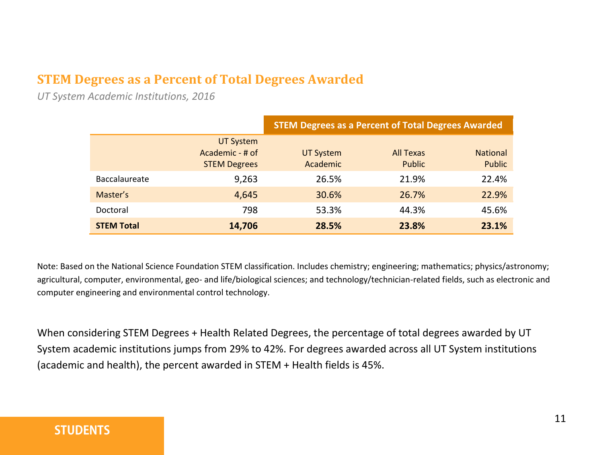#### **STEM Degrees as a Percent of Total Degrees Awarded**

*UT System Academic Institutions, 2016*

|                      |                                                            | <b>STEM Degrees as a Percent of Total Degrees Awarded</b> |                            |                                  |  |  |
|----------------------|------------------------------------------------------------|-----------------------------------------------------------|----------------------------|----------------------------------|--|--|
|                      | <b>UT System</b><br>Academic - # of<br><b>STEM Degrees</b> | UT System<br>Academic                                     | All Texas<br><b>Public</b> | <b>National</b><br><b>Public</b> |  |  |
| <b>Baccalaureate</b> | 9,263                                                      | 26.5%                                                     | 21.9%                      | 22.4%                            |  |  |
| Master's             | 4,645                                                      | 30.6%                                                     | 26.7%                      | 22.9%                            |  |  |
| Doctoral             | 798                                                        | 53.3%                                                     | 44.3%                      | 45.6%                            |  |  |
| <b>STEM Total</b>    | 14,706                                                     | 28.5%                                                     | 23.8%                      | 23.1%                            |  |  |

Note: Based on the National Science Foundation STEM classification. Includes chemistry; engineering; mathematics; physics/astronomy; agricultural, computer, environmental, geo- and life/biological sciences; and technology/technician-related fields, such as electronic and computer engineering and environmental control technology.

When considering STEM Degrees + Health Related Degrees, the percentage of total degrees awarded by UT System academic institutions jumps from 29% to 42%. For degrees awarded across all UT System institutions (academic and health), the percent awarded in STEM + Health fields is 45%.

#### **STUDENTS**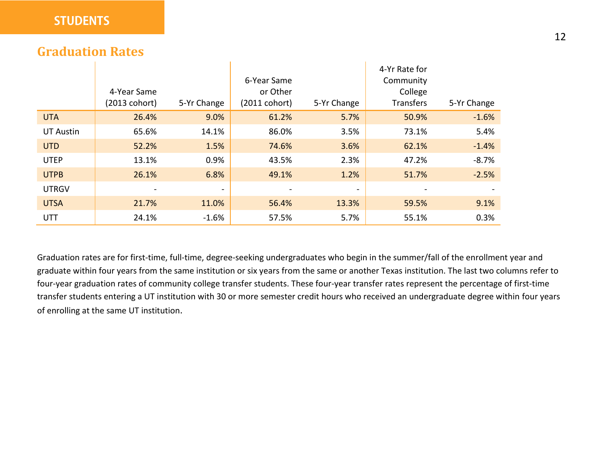#### **Graduation Rates**

|              |               |             |                         |             | 4-Yr Rate for    |             |
|--------------|---------------|-------------|-------------------------|-------------|------------------|-------------|
|              |               |             | 6-Year Same             |             | Community        |             |
|              | 4-Year Same   |             | or Other                |             | College          |             |
|              | (2013 cohort) | 5-Yr Change | $(2011 \text{ cohort})$ | 5-Yr Change | <b>Transfers</b> | 5-Yr Change |
| <b>UTA</b>   | 26.4%         | 9.0%        | 61.2%                   | 5.7%        | 50.9%            | $-1.6%$     |
| UT Austin    | 65.6%         | 14.1%       | 86.0%                   | 3.5%        | 73.1%            | 5.4%        |
| <b>UTD</b>   | 52.2%         | 1.5%        | 74.6%                   | 3.6%        | 62.1%            | $-1.4%$     |
| <b>UTEP</b>  | 13.1%         | 0.9%        | 43.5%                   | 2.3%        | 47.2%            | $-8.7%$     |
| <b>UTPB</b>  | 26.1%         | 6.8%        | 49.1%                   | 1.2%        | 51.7%            | $-2.5%$     |
| <b>UTRGV</b> |               |             |                         | ۰           |                  |             |
| <b>UTSA</b>  | 21.7%         | 11.0%       | 56.4%                   | 13.3%       | 59.5%            | 9.1%        |
| <b>UTT</b>   | 24.1%         | $-1.6%$     | 57.5%                   | 5.7%        | 55.1%            | 0.3%        |

 $\mathbf{I}$ 

Graduation rates are for first-time, full-time, degree-seeking undergraduates who begin in the summer/fall of the enrollment year and graduate within four years from the same institution or six years from the same or another Texas institution. The last two columns refer to four-year graduation rates of community college transfer students. These four-year transfer rates represent the percentage of first-time transfer students entering a UT institution with 30 or more semester credit hours who received an undergraduate degree within four years of enrolling at the same UT institution.

 $\mathbf{r}$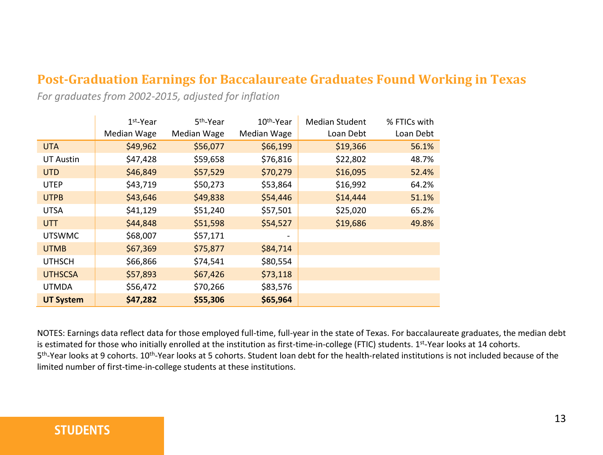#### **Post-Graduation Earnings for Baccalaureate Graduates Found Working in Texas**

*For graduates from 2002-2015, adjusted for inflation*

|                  | $1st$ -Year | 5 <sup>th</sup> -Year | 10 <sup>th</sup> -Year | <b>Median Student</b> | % FTICs with |
|------------------|-------------|-----------------------|------------------------|-----------------------|--------------|
|                  | Median Wage | Median Wage           | Median Wage            | Loan Debt             | Loan Debt    |
| UTA.             | \$49,962    | \$56,077              | \$66,199               | \$19,366              | 56.1%        |
| <b>UT Austin</b> | \$47,428    | \$59,658              | \$76,816               | \$22,802              | 48.7%        |
| UTD.             | \$46,849    | \$57,529              | \$70,279               | \$16,095              | 52.4%        |
| <b>UTEP</b>      | \$43,719    | \$50,273              | \$53,864               | \$16,992              | 64.2%        |
| <b>UTPB</b>      | \$43,646    | \$49,838              | \$54,446               | \$14,444              | 51.1%        |
| <b>UTSA</b>      | \$41,129    | \$51,240              | \$57,501               | \$25,020              | 65.2%        |
| UTT.             | \$44,848    | \$51,598              | \$54,527               | \$19,686              | 49.8%        |
| <b>UTSWMC</b>    | \$68,007    | \$57,171              | -                      |                       |              |
| <b>UTMB</b>      | \$67,369    | \$75,877              | \$84,714               |                       |              |
| <b>UTHSCH</b>    | \$66,866    | \$74,541              | \$80,554               |                       |              |
| <b>UTHSCSA</b>   | \$57,893    | \$67,426              | \$73,118               |                       |              |
| <b>UTMDA</b>     | \$56,472    | \$70,266              | \$83,576               |                       |              |
| <b>UT System</b> | \$47,282    | \$55,306              | \$65,964               |                       |              |

NOTES: Earnings data reflect data for those employed full-time, full-year in the state of Texas. For baccalaureate graduates, the median debt is estimated for those who initially enrolled at the institution as first-time-in-college (FTIC) students. 1st-Year looks at 14 cohorts. 5<sup>th</sup>-Year looks at 9 cohorts. 10<sup>th</sup>-Year looks at 5 cohorts. Student loan debt for the health-related institutions is not included because of the limited number of first-time-in-college students at these institutions.

#### **STUDENTS**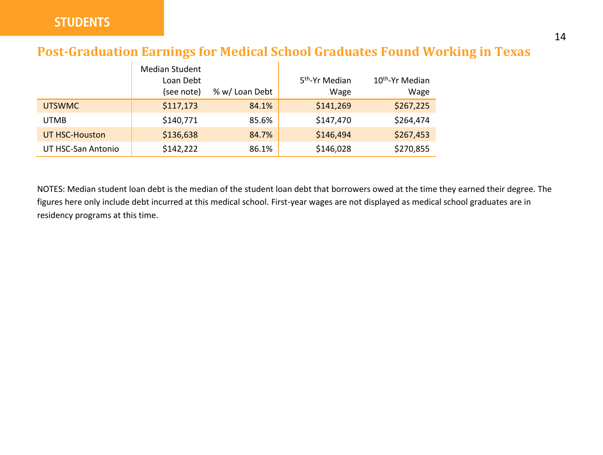#### **Post-Graduation Earnings for Medical School Graduates Found Working in Texas**

|                    | <b>Median Student</b><br>Loan Debt<br>(see note) | % w/ Loan Debt | 5 <sup>th</sup> -Yr Median<br>Wage | 10 <sup>th</sup> -Yr Median<br>Wage |
|--------------------|--------------------------------------------------|----------------|------------------------------------|-------------------------------------|
| <b>UTSWMC</b>      | \$117,173                                        | 84.1%          | \$141,269                          | \$267,225                           |
| UTMB               | \$140.771                                        | 85.6%          | \$147,470                          | \$264,474                           |
| UT HSC-Houston     | \$136,638                                        | 84.7%          | \$146,494                          | \$267,453                           |
| UT HSC-San Antonio | \$142.222                                        | 86.1%          | \$146,028                          | \$270,855                           |

NOTES: Median student loan debt is the median of the student loan debt that borrowers owed at the time they earned their degree. The figures here only include debt incurred at this medical school. First-year wages are not displayed as medical school graduates are in residency programs at this time.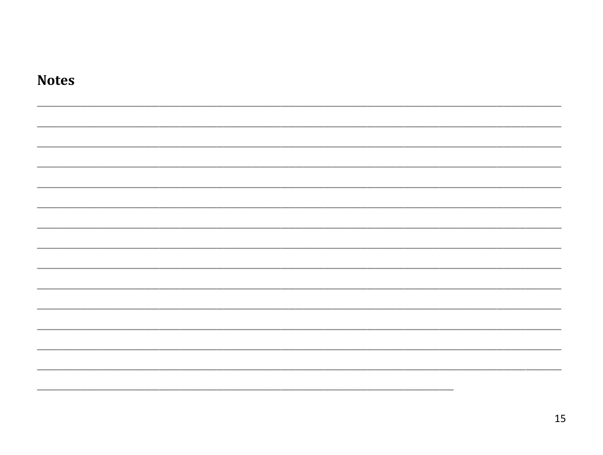| <b>Notes</b> |  |  |  |
|--------------|--|--|--|
|              |  |  |  |
|              |  |  |  |
|              |  |  |  |
|              |  |  |  |
|              |  |  |  |
|              |  |  |  |
|              |  |  |  |
|              |  |  |  |
|              |  |  |  |
|              |  |  |  |
|              |  |  |  |
|              |  |  |  |
|              |  |  |  |
|              |  |  |  |
|              |  |  |  |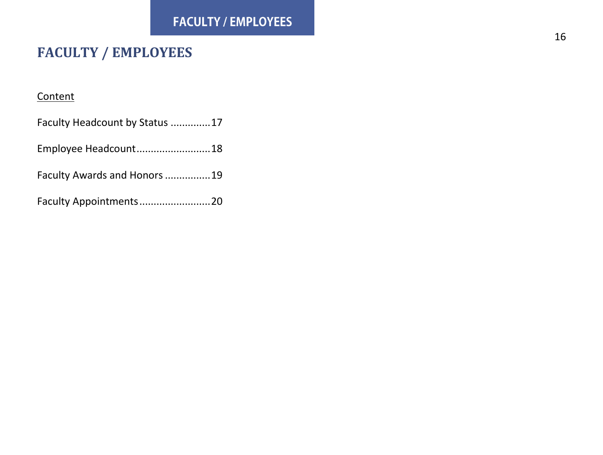### **FACULTY / EMPLOYEES**

#### **Content**

| Faculty Headcount by Status 17 |  |
|--------------------------------|--|
| Employee Headcount18           |  |
| Faculty Awards and Honors 19   |  |
| Faculty Appointments20         |  |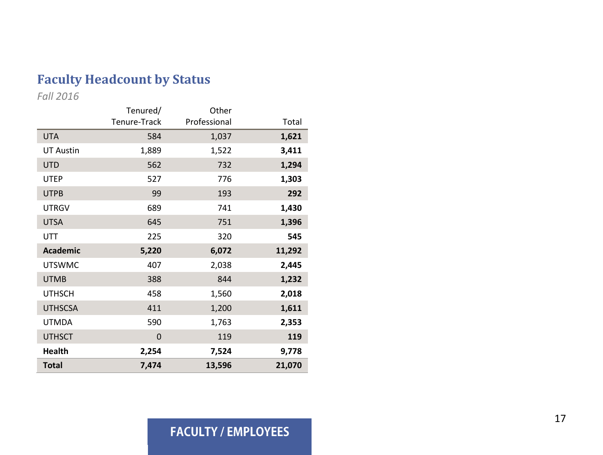#### **Faculty Headcount by Status**

*Fall 201 6*

|                  | Tenured/     | Other        |        |
|------------------|--------------|--------------|--------|
|                  | Tenure-Track | Professional | Total  |
| <b>UTA</b>       | 584          | 1,037        | 1,621  |
| <b>UT Austin</b> | 1,889        | 1,522        | 3,411  |
| <b>UTD</b>       | 562          | 732          | 1,294  |
| <b>UTEP</b>      | 527          | 776          | 1,303  |
| <b>UTPB</b>      | 99           | 193          | 292    |
| <b>UTRGV</b>     | 689          | 741          | 1,430  |
| <b>UTSA</b>      | 645          | 751          | 1,396  |
| UTT              | 225          | 320          | 545    |
| <b>Academic</b>  | 5,220        | 6,072        | 11,292 |
| <b>UTSWMC</b>    | 407          | 2,038        | 2,445  |
| <b>UTMB</b>      | 388          | 844          | 1,232  |
| <b>UTHSCH</b>    | 458          | 1,560        | 2,018  |
| <b>UTHSCSA</b>   | 411          | 1,200        | 1,611  |
| <b>UTMDA</b>     | 590          | 1,763        | 2,353  |
| <b>UTHSCT</b>    | 0            | 119          | 119    |
| <b>Health</b>    | 2,254        | 7,524        | 9,778  |
| <b>Total</b>     | 7,474        | 13,596       | 21,070 |

#### **FACULTY / EMPLOYEES**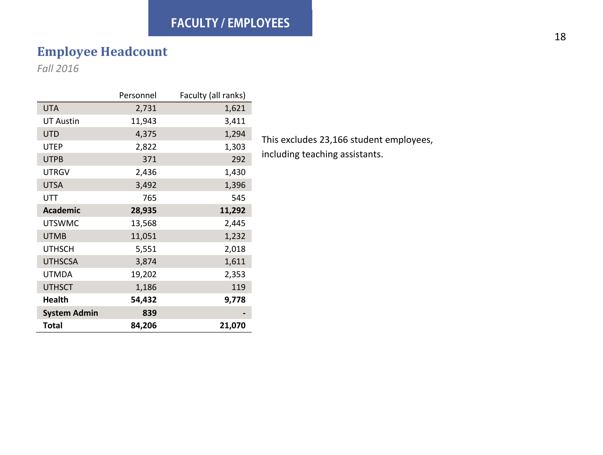#### **FACULTY / EMPLOYEES**

#### **Employee Headcount**

*Fall 2016*

|                     | Personnel | Faculty (all ranks) |
|---------------------|-----------|---------------------|
| <b>UTA</b>          | 2,731     | 1,621               |
| <b>UT Austin</b>    | 11,943    | 3,411               |
| <b>UTD</b>          | 4,375     | 1,294               |
| <b>UTEP</b>         | 2,822     | 1,303               |
| <b>UTPB</b>         | 371       | 292                 |
| <b>UTRGV</b>        | 2,436     | 1,430               |
| <b>UTSA</b>         | 3,492     | 1,396               |
| UTT                 | 765       | 545                 |
| <b>Academic</b>     | 28,935    | 11,292              |
| <b>UTSWMC</b>       | 13,568    | 2,445               |
| <b>UTMB</b>         | 11,051    | 1,232               |
| <b>UTHSCH</b>       | 5,551     | 2,018               |
| <b>UTHSCSA</b>      | 3,874     | 1,611               |
| <b>UTMDA</b>        | 19,202    | 2,353               |
| <b>UTHSCT</b>       | 1,186     | 119                 |
| <b>Health</b>       | 54,432    | 9,778               |
| <b>System Admin</b> | 839       |                     |
| <b>Total</b>        | 84,206    | 21,070              |

This excludes 23,166 student employees, including teaching assistants.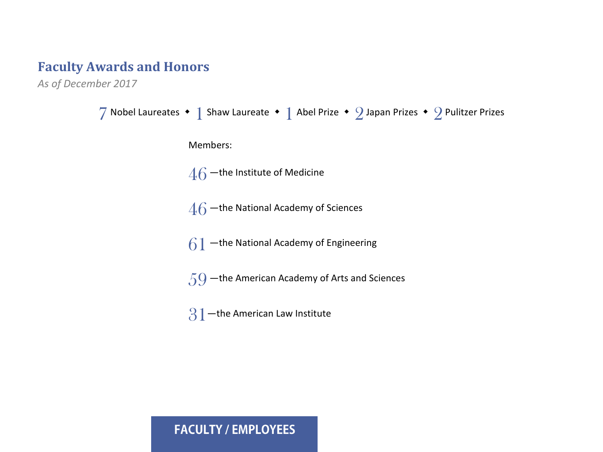#### **Faculty Awards and Honors**

*As of December 2017*

```
7 Nobel Laureates • 1 Shaw Laureate • 1 Abel Prize • 2 Japan Prizes • 2 Pulitzer Prizes
      Members:
      46 –the Institute of Medicine
      46 –the National Academy of Sciences
      61 –the National Academy of Engineering
      59 —the American Academy of Arts and Sciences
      31 -the American Law Institute
```
#### **FACULTY / EMPLOYEES**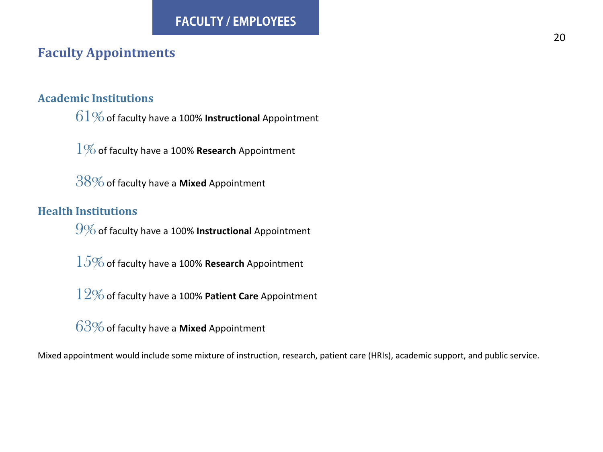#### **Faculty Appointments**

#### **Academic Institutions**

 $61\%$  of faculty have a 100% **Instructional** Appointment

1%of faculty have a 100% **Research** Appointment

38%of faculty have a **Mixed** Appointment

#### **Health Institutions**

9%of faculty have a 100% **Instructional** Appointment

 $15\%$  of faculty have a 100% **Research** Appointment

12%of faculty have a 100% **Patient Care** Appointment

63%of faculty have a **Mixed** Appointment

Mixed appointment would include some mixture of instruction, research, patient care (HRIs), academic support, and public service.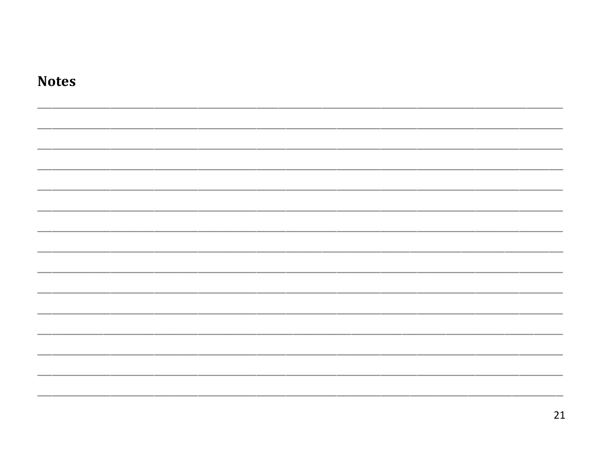| <b>Notes</b> |  |
|--------------|--|
|              |  |
|              |  |
|              |  |
|              |  |
|              |  |
|              |  |
|              |  |
|              |  |
|              |  |
|              |  |
|              |  |
|              |  |
|              |  |
|              |  |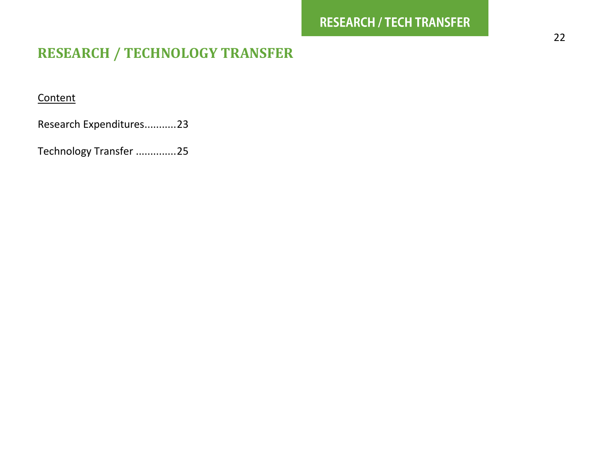#### **RESEARCH / TECHNOLOGY TRANSFER**

#### **Content**

Research Expenditures...........23

Technology Transfer ..............25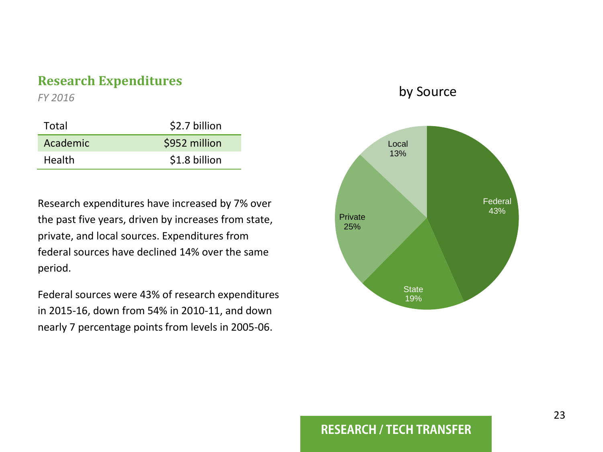#### **Research Expenditures**

*FY 2016*

| Total         | \$2.7 billion |
|---------------|---------------|
| Academic      | \$952 million |
| <b>Health</b> | \$1.8 billion |

Research expenditures have increased by 7% over the past five years, driven by increases from state, private, and local sources. Expenditures from federal sources have declined 14% over the same period.

Federal sources were 43% of research expenditures in 2015-16, down from 54% in 2010-11, and down nearly 7 percentage points from levels in 2005-06.

#### by Source



#### **RESEARCH / TECH TRANSFER**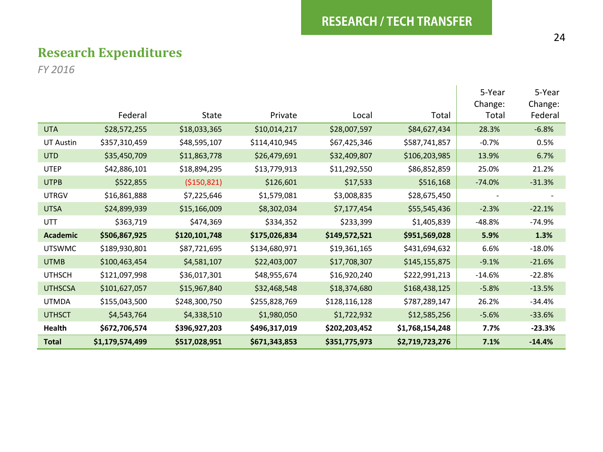$\mathbf{I}$ 

#### **Research Expenditures**

*FY 2016*

|                  |                 |               |               |               |                 | 5-Year<br>Change: | 5-Year<br>Change: |
|------------------|-----------------|---------------|---------------|---------------|-----------------|-------------------|-------------------|
|                  | Federal         | State         | Private       | Local         | Total           | Total             | Federal           |
| <b>UTA</b>       | \$28,572,255    | \$18,033,365  | \$10,014,217  | \$28,007,597  | \$84,627,434    | 28.3%             | $-6.8%$           |
| <b>UT Austin</b> | \$357,310,459   | \$48,595,107  | \$114,410,945 | \$67,425,346  | \$587,741,857   | $-0.7%$           | 0.5%              |
| <b>UTD</b>       | \$35,450,709    | \$11,863,778  | \$26,479,691  | \$32,409,807  | \$106,203,985   | 13.9%             | 6.7%              |
| <b>UTEP</b>      | \$42,886,101    | \$18,894,295  | \$13,779,913  | \$11,292,550  | \$86,852,859    | 25.0%             | 21.2%             |
| <b>UTPB</b>      | \$522,855       | (\$150,821)   | \$126,601     | \$17,533      | \$516,168       | $-74.0%$          | $-31.3%$          |
| <b>UTRGV</b>     | \$16,861,888    | \$7,225,646   | \$1,579,081   | \$3,008,835   | \$28,675,450    |                   |                   |
| <b>UTSA</b>      | \$24,899,939    | \$15,166,009  | \$8,302,034   | \$7,177,454   | \$55,545,436    | $-2.3%$           | $-22.1%$          |
| UTT              | \$363,719       | \$474,369     | \$334,352     | \$233,399     | \$1,405,839     | $-48.8%$          | $-74.9%$          |
| <b>Academic</b>  | \$506,867,925   | \$120,101,748 | \$175,026,834 | \$149,572,521 | \$951,569,028   | 5.9%              | 1.3%              |
| <b>UTSWMC</b>    | \$189,930,801   | \$87,721,695  | \$134,680,971 | \$19,361,165  | \$431,694,632   | 6.6%              | $-18.0%$          |
| <b>UTMB</b>      | \$100,463,454   | \$4,581,107   | \$22,403,007  | \$17,708,307  | \$145,155,875   | $-9.1%$           | $-21.6%$          |
| <b>UTHSCH</b>    | \$121,097,998   | \$36,017,301  | \$48,955,674  | \$16,920,240  | \$222,991,213   | $-14.6%$          | $-22.8%$          |
| <b>UTHSCSA</b>   | \$101,627,057   | \$15,967,840  | \$32,468,548  | \$18,374,680  | \$168,438,125   | $-5.8%$           | $-13.5%$          |
| <b>UTMDA</b>     | \$155,043,500   | \$248,300,750 | \$255,828,769 | \$128,116,128 | \$787,289,147   | 26.2%             | $-34.4%$          |
| <b>UTHSCT</b>    | \$4,543,764     | \$4,338,510   | \$1,980,050   | \$1,722,932   | \$12,585,256    | $-5.6%$           | $-33.6%$          |
| Health           | \$672,706,574   | \$396,927,203 | \$496,317,019 | \$202,203,452 | \$1,768,154,248 | 7.7%              | $-23.3%$          |
| <b>Total</b>     | \$1,179,574,499 | \$517,028,951 | \$671,343,853 | \$351,775,973 | \$2,719,723,276 | 7.1%              | $-14.4%$          |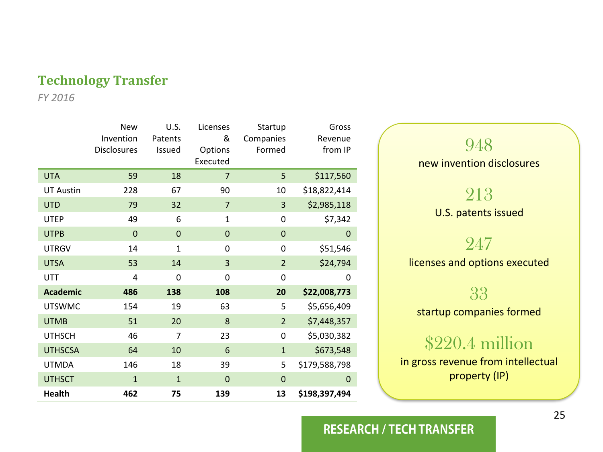#### **Technology Transfer**

*FY 2016*

|                  | <b>New</b><br>Invention<br><b>Disclosures</b> | U.S.<br>Patents<br>Issued | Licenses<br>&<br>Options<br>Executed | Startup<br>Companies<br>Formed | Gross<br>Revenue<br>from IP |
|------------------|-----------------------------------------------|---------------------------|--------------------------------------|--------------------------------|-----------------------------|
| <b>UTA</b>       | 59                                            | 18                        | 7                                    | 5                              | \$117,560                   |
| <b>UT Austin</b> | 228                                           | 67                        | 90                                   | 10                             | \$18,822,414                |
| <b>UTD</b>       | 79                                            | 32                        | $\overline{7}$                       | 3                              | \$2,985,118                 |
| <b>UTEP</b>      | 49                                            | 6                         | 1                                    | 0                              | \$7,342                     |
| <b>UTPB</b>      | $\overline{0}$                                | $\mathbf 0$               | $\mathbf{0}$                         | $\mathbf 0$                    | 0                           |
| <b>UTRGV</b>     | 14                                            | 1                         | $\Omega$                             | 0                              | \$51,546                    |
| <b>UTSA</b>      | 53                                            | 14                        | 3                                    | $\overline{2}$                 | \$24,794                    |
| UTT              | 4                                             | 0                         | 0                                    | 0                              | 0                           |
| <b>Academic</b>  | 486                                           | 138                       | 108                                  | 20                             | \$22,008,773                |
| <b>UTSWMC</b>    | 154                                           | 19                        | 63                                   | 5                              | \$5,656,409                 |
| <b>UTMB</b>      | 51                                            | 20                        | 8                                    | $\overline{2}$                 | \$7,448,357                 |
| <b>UTHSCH</b>    | 46                                            | 7                         | 23                                   | 0                              | \$5,030,382                 |
| <b>UTHSCSA</b>   | 64                                            | 10                        | 6                                    | $\mathbf{1}$                   | \$673,548                   |
| <b>UTMDA</b>     | 146                                           | 18                        | 39                                   | 5                              | \$179,588,798               |
| <b>UTHSCT</b>    | $\mathbf{1}$                                  | $\mathbf 1$               | $\mathbf 0$                          | $\mathbf 0$                    | 0                           |
| <b>Health</b>    | 462                                           | 75                        | 139                                  | 13                             | \$198,397,494               |

# 948 new invention disclosures 213 U.S. patents issued 247 licenses and options executed 33 startup companies formed

## \$220.4 million

in gross revenue from intellectual property (IP)

#### **RESEARCH / TECH TRANSFER**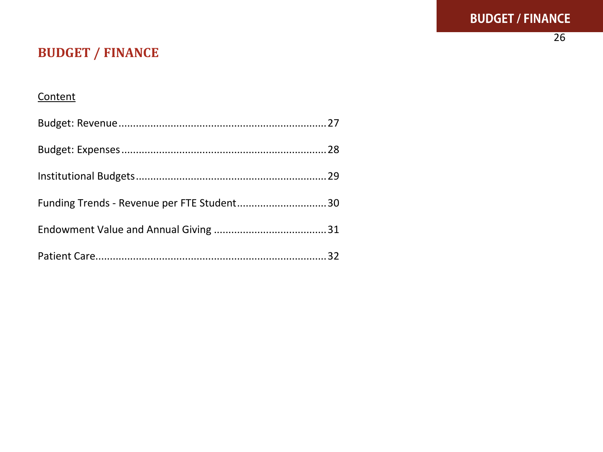$\overline{26}$ 

#### **BUDGET / FINANCE**

#### Content

| Funding Trends - Revenue per FTE Student30 |  |
|--------------------------------------------|--|
|                                            |  |
|                                            |  |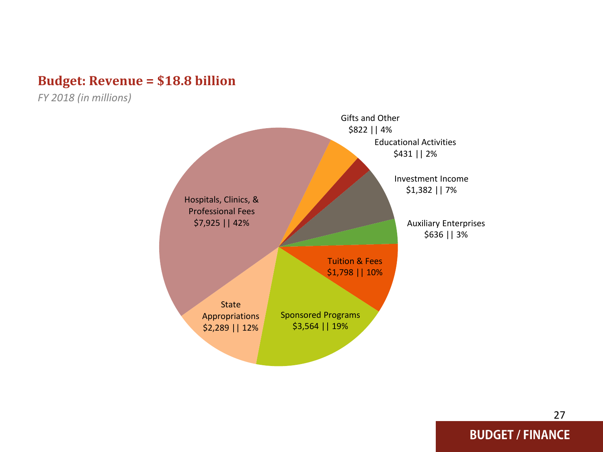#### **Budget: Revenue = \$18.8 billion**

*FY 2018 (in millions)*

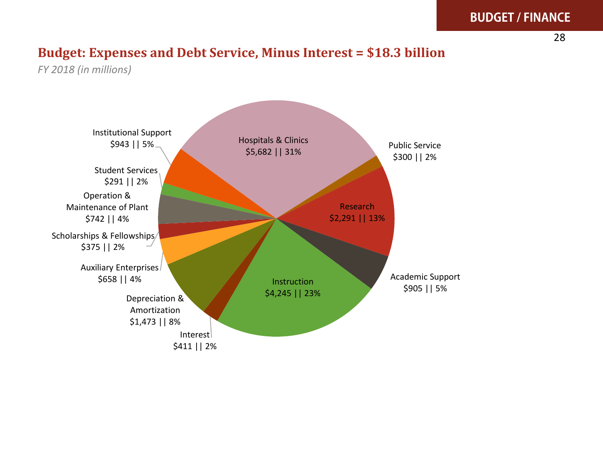#### **BUDGET / FINANCE**

#### **Budget: Expenses and Debt Service, Minus Interest = \$18.3 billion**

*FY 2018 (in millions)*

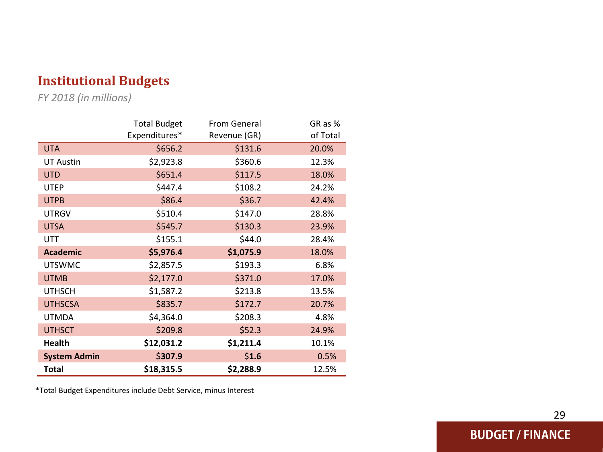#### **Institutional Budget s**

*FY 201 8 (in millions)*

|                     | <b>Total Budget</b> | From General | GR as %  |
|---------------------|---------------------|--------------|----------|
|                     | Expenditures*       | Revenue (GR) | of Total |
| <b>UTA</b>          | \$656.2             | \$131.6      | 20.0%    |
| <b>UT Austin</b>    | \$2,923.8           | \$360.6      | 12.3%    |
| <b>UTD</b>          | \$651.4             | \$117.5      | 18.0%    |
| <b>UTEP</b>         | \$447.4             | \$108.2      | 24.2%    |
| <b>UTPB</b>         | \$86.4              | \$36.7       | 42.4%    |
| <b>UTRGV</b>        | \$510.4             | \$147.0      | 28.8%    |
| <b>UTSA</b>         | \$545.7             | \$130.3      | 23.9%    |
| UTT                 | \$155.1             | \$44.0       | 28.4%    |
| <b>Academic</b>     | \$5,976.4           | \$1,075.9    | 18.0%    |
| <b>UTSWMC</b>       | \$2,857.5           | \$193.3      | 6.8%     |
| <b>UTMB</b>         | \$2,177.0           | \$371.0      | 17.0%    |
| <b>UTHSCH</b>       | \$1,587.2           | \$213.8      | 13.5%    |
| <b>UTHSCSA</b>      | \$835.7             | \$172.7      | 20.7%    |
| <b>UTMDA</b>        | \$4,364.0           | \$208.3      | 4.8%     |
| <b>UTHSCT</b>       | \$209.8             | \$52.3       | 24.9%    |
| <b>Health</b>       | \$12,031.2          | \$1,211.4    | 10.1%    |
| <b>System Admin</b> | \$307.9             | \$1.6        | 0.5%     |
| Total               | \$18,315.5          | \$2,288.9    | 12.5%    |

\*Total Budget Expenditures include Debt Service, minus Interest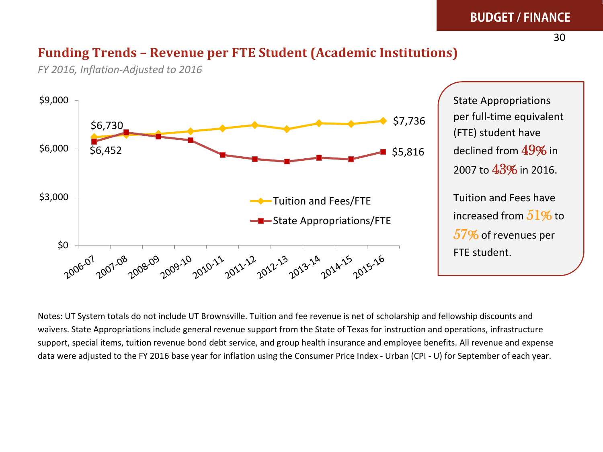#### **BUDGET / FINANCE**

#### **Funding Trends – Revenue per FTE Student (Academic Institutions)**



*FY 2016, Inflation-Adjusted to 2016*

State Appropriations per full-time equivalent (FTE) student have declined from 49% in 2007 to 43% in 2016. Tuition and Fees have increased from  $51\%$  to 57% of revenues per FTE student.

Notes: UT System totals do not include UT Brownsville. Tuition and fee revenue is net of scholarship and fellowship discounts and waivers. State Appropriations include general revenue support from the State of Texas for instruction and operations, infrastructure support, special items, tuition revenue bond debt service, and group health insurance and employee benefits. All revenue and expense data were adjusted to the FY 2016 base year for inflation using the Consumer Price Index - Urban (CPI - U) for September of each year.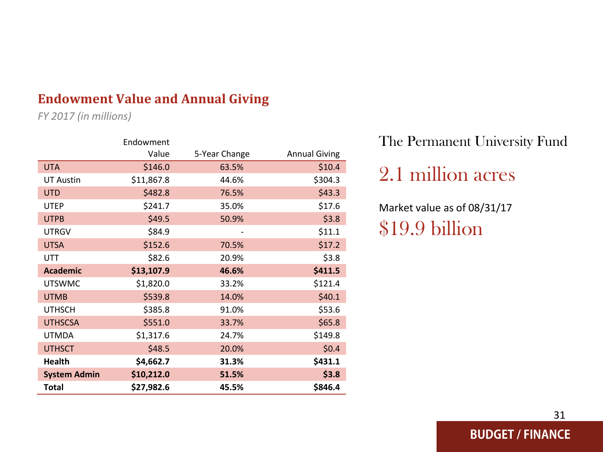#### **Endowment Value and Annual Giving**

*FY 2017 (in millions)*

|                     | Endowment  |               |                      |
|---------------------|------------|---------------|----------------------|
|                     | Value      | 5-Year Change | <b>Annual Giving</b> |
| <b>UTA</b>          | \$146.0    | 63.5%         | \$10.4               |
| <b>UT Austin</b>    | \$11,867.8 | 44.6%         | \$304.3              |
| <b>UTD</b>          | \$482.8    | 76.5%         | \$43.3               |
| <b>UTEP</b>         | \$241.7    | 35.0%         | \$17.6               |
| <b>UTPB</b>         | \$49.5     | 50.9%         | \$3.8                |
| <b>UTRGV</b>        | \$84.9     |               | \$11.1               |
| <b>UTSA</b>         | \$152.6    | 70.5%         | \$17.2               |
| <b>UTT</b>          | \$82.6     | 20.9%         | \$3.8                |
| <b>Academic</b>     | \$13,107.9 | 46.6%         | \$411.5              |
| <b>UTSWMC</b>       | \$1,820.0  | 33.2%         | \$121.4              |
| <b>UTMB</b>         | \$539.8    | 14.0%         | \$40.1               |
| <b>UTHSCH</b>       | \$385.8    | 91.0%         | \$53.6               |
| <b>UTHSCSA</b>      | \$551.0    | 33.7%         | \$65.8               |
| <b>UTMDA</b>        | \$1,317.6  | 24.7%         | \$149.8              |
| <b>UTHSCT</b>       | \$48.5     | 20.0%         | \$0.4\$              |
| <b>Health</b>       | \$4,662.7  | 31.3%         | \$431.1              |
| <b>System Admin</b> | \$10,212.0 | 51.5%         | \$3.8                |
| Total               | \$27,982.6 | 45.5%         | \$846.4              |

The Permanent University Fund

# 2.1 million acres

Market value as of 08/31/17 \$19.9 billion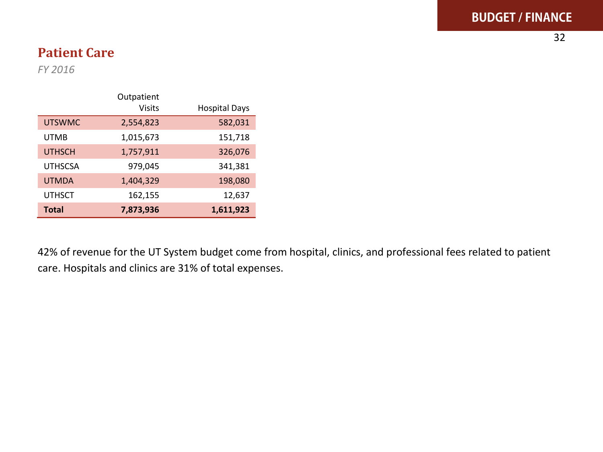#### **Patient Care**

*FY 2016*

|                | Outpatient<br><b>Visits</b> | <b>Hospital Days</b> |
|----------------|-----------------------------|----------------------|
| <b>UTSWMC</b>  | 2,554,823                   | 582,031              |
| <b>UTMB</b>    | 1,015,673                   | 151,718              |
| <b>UTHSCH</b>  | 1,757,911                   | 326,076              |
| <b>UTHSCSA</b> | 979,045                     | 341,381              |
| <b>UTMDA</b>   | 1,404,329                   | 198,080              |
| <b>UTHSCT</b>  | 162,155                     | 12,637               |
| <b>Total</b>   | 7,873,936                   | 1,611,923            |

42% of revenue for the UT System budget come from hospital, clinics, and professional fees related to patient care. Hospitals and clinics are 31% of total expenses.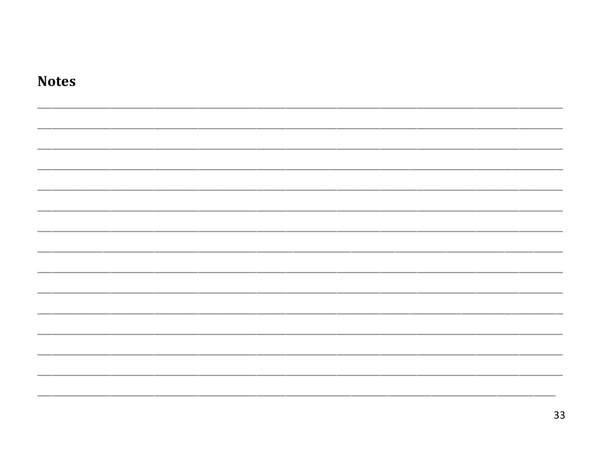| <b>Notes</b> |  |
|--------------|--|
|              |  |
|              |  |
|              |  |
|              |  |
|              |  |
|              |  |
|              |  |
|              |  |
|              |  |
|              |  |
|              |  |
|              |  |
|              |  |
|              |  |